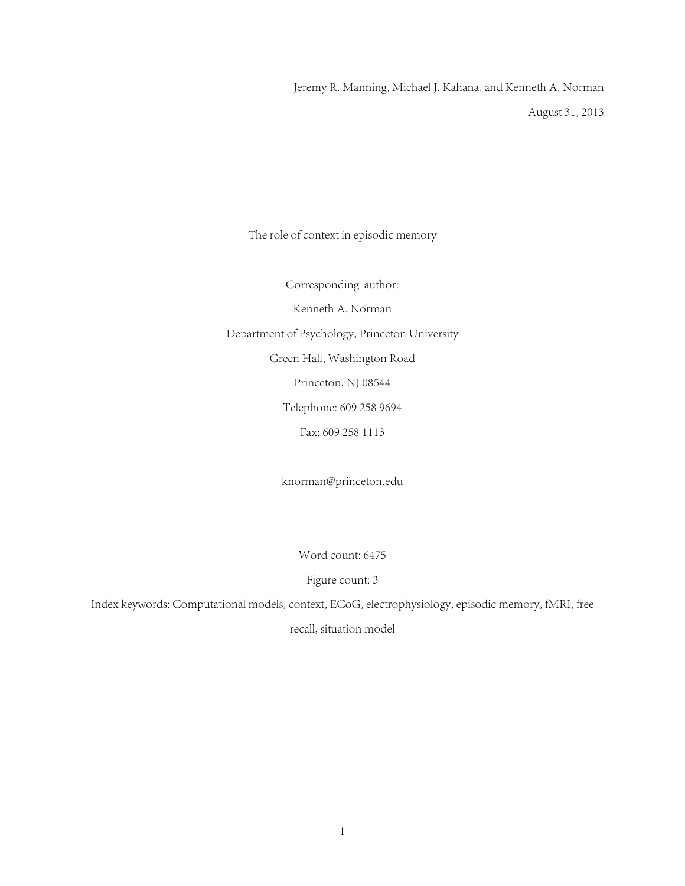Jeremy R. Manning, Michael J. Kahana, and Kenneth A. Norman August 31, 2013

The role of context in episodic memory

Corresponding author: Kenneth A. Norman Department of Psychology, Princeton University Green Hall, Washington Road Princeton, NJ 08544 Telephone: 609 258 9694 Fax: 609 258 1113

knorman@princeton.edu

Word count: 6475

Figure count: 3

Index keywords: Computational models, context, ECoG, electrophysiology, episodic memory, fMRI, free

recall, situation model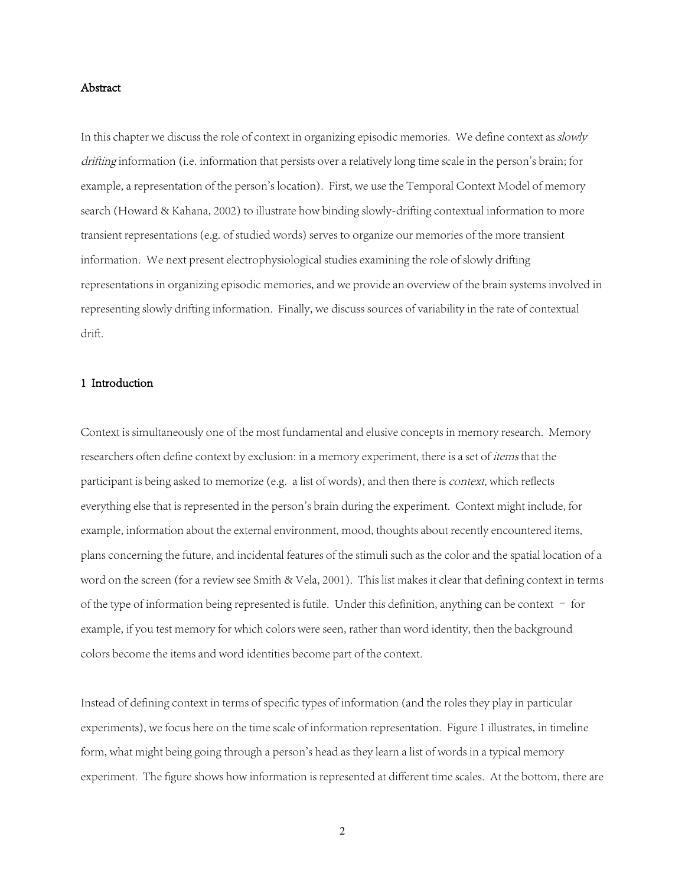## Abstract

In this chapter we discuss the role of context in organizing episodic memories. We define context as *slowly* drifting information (i.e. information that persists over a relatively long time scale in the person's brain; for example, a representation of the person's location). First, we use the Temporal Context Model of memory search (Howard & Kahana, 2002) to illustrate how binding slowly-drifting contextual information to more transient representations (e.g. of studied words) serves to organize our memories of the more transient information. We next present electrophysiological studies examining the role of slowly drifting representations in organizing episodic memories, and we provide an overview of the brain systems involved in representing slowly drifting information. Finally, we discuss sources of variability in the rate of contextual drift.

## 1 Introduction

Context is simultaneously one of the most fundamental and elusive concepts in memory research. Memory researchers often define context by exclusion: in a memory experiment, there is a set of *items* that the participant is being asked to memorize (e.g. a list of words), and then there is context, which reflects everything else that is represented in the person's brain during the experiment. Context might include, for example, information about the external environment, mood, thoughts about recently encountered items, plans concerning the future, and incidental features of the stimuli such as the color and the spatial location of a word on the screen (for a review see Smith & Vela, 2001). This list makes it clear that defining context in terms of the type of information being represented is futile. Under this definition, anything can be context  $-$  for example, if you test memory for which colors were seen, rather than word identity, then the background colors become the items and word identities become part of the context.

Instead of defining context in terms of specific types of information (and the roles they play in particular experiments), we focus here on the time scale of information representation. Figure 1 illustrates, in timeline form, what might being going through a person's head as they learn a list of words in a typical memory experiment. The figure shows how information is represented at different time scales. At the bottom, there are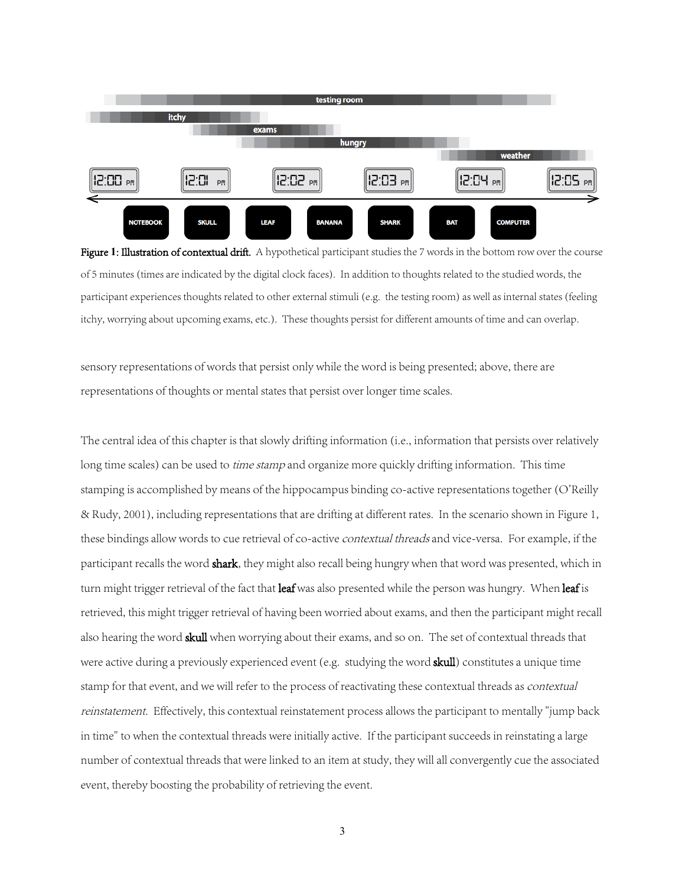

Figure 1: Illustration of contextual drift. A hypothetical participant studies the 7 words in the bottom row over the course of 5 minutes (times are indicated by the digital clock faces). In addition to thoughts related to the studied words, the participant experiences thoughts related to other external stimuli (e.g. the testing room) as well as internal states (feeling itchy, worrying about upcoming exams, etc.). These thoughts persist for different amounts of time and can overlap.

sensory representations of words that persist only while the word is being presented; above, there are representations of thoughts or mental states that persist over longer time scales.

The central idea of this chapter is that slowly drifting information (i.e., information that persists over relatively long time scales) can be used to *time stamp* and organize more quickly drifting information. This time stamping is accomplished by means of the hippocampus binding co-active representations together (O'Reilly & Rudy, 2001), including representations that are drifting at different rates. In the scenario shown in Figure 1, these bindings allow words to cue retrieval of co-active *contextual threads* and vice-versa. For example, if the participant recalls the word **shark**, they might also recall being hungry when that word was presented, which in turn might trigger retrieval of the fact that leaf was also presented while the person was hungry. When leaf is retrieved, this might trigger retrieval of having been worried about exams, and then the participant might recall also hearing the word **skull** when worrying about their exams, and so on. The set of contextual threads that were active during a previously experienced event (e.g. studying the word **skull**) constitutes a unique time stamp for that event, and we will refer to the process of reactivating these contextual threads as *contextual* reinstatement. Effectively, this contextual reinstatement process allows the participant to mentally "jump back in time" to when the contextual threads were initially active. If the participant succeeds in reinstating a large number of contextual threads that were linked to an item at study, they will all convergently cue the associated event, thereby boosting the probability of retrieving the event.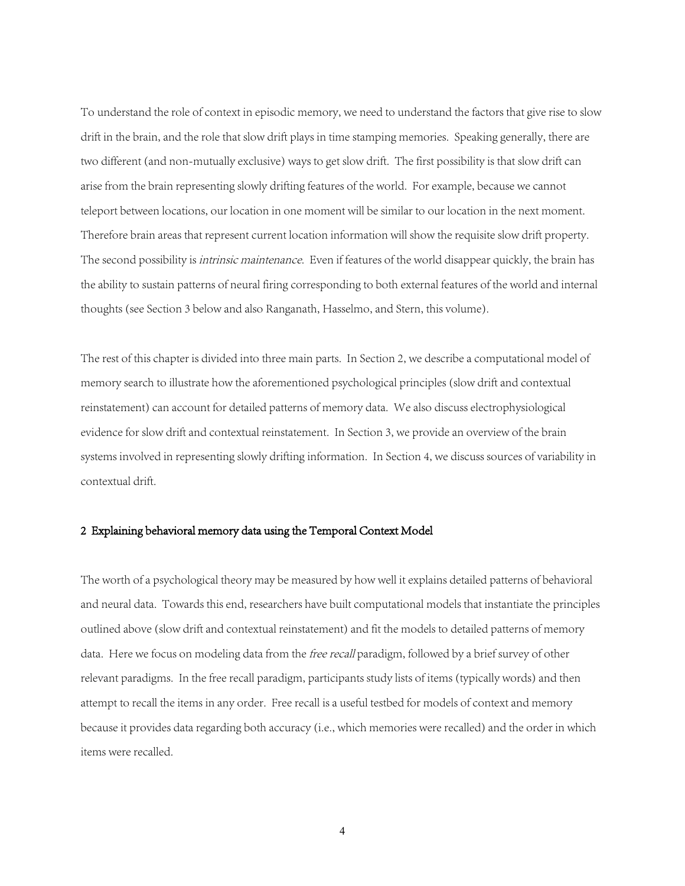To understand the role of context in episodic memory, we need to understand the factors that give rise to slow drift in the brain, and the role that slow drift plays in time stamping memories. Speaking generally, there are two different (and non-mutually exclusive) ways to get slow drift. The first possibility is that slow drift can arise from the brain representing slowly drifting features of the world. For example, because we cannot teleport between locations, our location in one moment will be similar to our location in the next moment. Therefore brain areas that represent current location information will show the requisite slow drift property. The second possibility is *intrinsic maintenance*. Even if features of the world disappear quickly, the brain has the ability to sustain patterns of neural firing corresponding to both external features of the world and internal thoughts (see Section 3 below and also Ranganath, Hasselmo, and Stern, this volume).

The rest of this chapter is divided into three main parts. In Section 2, we describe a computational model of memory search to illustrate how the aforementioned psychological principles (slow drift and contextual reinstatement) can account for detailed patterns of memory data. We also discuss electrophysiological evidence for slow drift and contextual reinstatement. In Section 3, we provide an overview of the brain systems involved in representing slowly drifting information. In Section 4, we discuss sources of variability in contextual drift.

### 2 Explaining behavioral memory data using the Temporal Context Model

The worth of a psychological theory may be measured by how well it explains detailed patterns of behavioral and neural data. Towards this end, researchers have built computational models that instantiate the principles outlined above (slow drift and contextual reinstatement) and fit the models to detailed patterns of memory data. Here we focus on modeling data from the *free recall* paradigm, followed by a brief survey of other relevant paradigms. In the free recall paradigm, participants study lists of items (typically words) and then attempt to recall the items in any order. Free recall is a useful testbed for models of context and memory because it provides data regarding both accuracy (i.e., which memories were recalled) and the order in which items were recalled.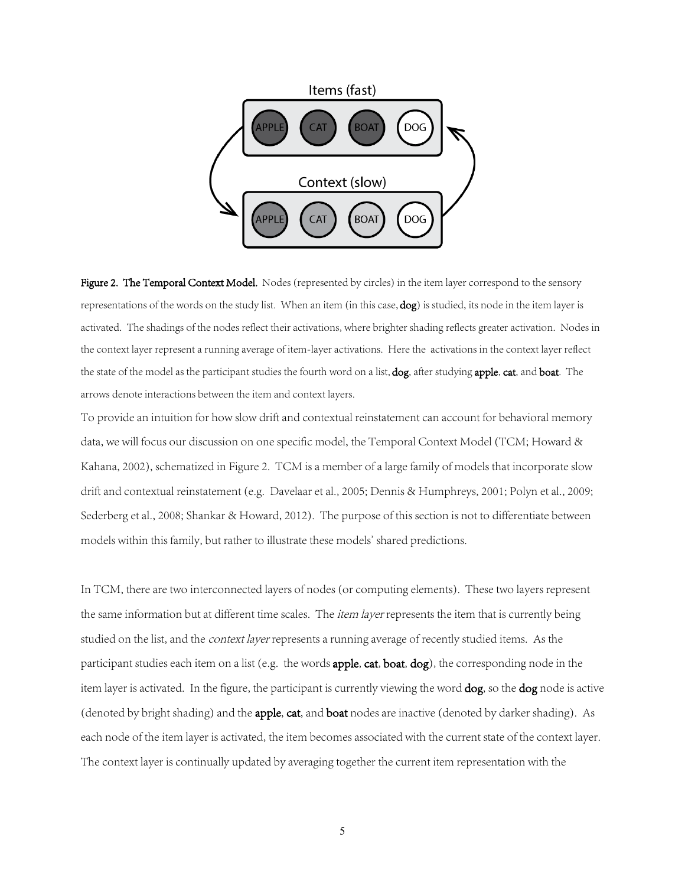

Figure 2. The Temporal Context Model. Nodes (represented by circles) in the item layer correspond to the sensory representations of the words on the study list. When an item (in this case, dog) is studied, its node in the item layer is activated. The shadings of the nodes reflect their activations, where brighter shading reflects greater activation. Nodes in the context layer represent a running average of item-layer activations. Here the activations in the context layer reflect the state of the model as the participant studies the fourth word on a list, dog, after studying apple, cat, and boat. The arrows denote interactions between the item and context layers.

To provide an intuition for how slow drift and contextual reinstatement can account for behavioral memory data, we will focus our discussion on one specific model, the Temporal Context Model (TCM; Howard & Kahana, 2002), schematized in Figure 2. TCM is a member of a large family of models that incorporate slow drift and contextual reinstatement (e.g. Davelaar et al., 2005; Dennis & Humphreys, 2001; Polyn et al., 2009; Sederberg et al., 2008; Shankar & Howard, 2012). The purpose of this section is not to differentiate between models within this family, but rather to illustrate these models' shared predictions.

In TCM, there are two interconnected layers of nodes (or computing elements). These two layers represent the same information but at different time scales. The *item layer* represents the item that is currently being studied on the list, and the *context layer* represents a running average of recently studied items. As the participant studies each item on a list (e.g. the words apple, cat, boat, dog), the corresponding node in the item layer is activated. In the figure, the participant is currently viewing the word dog, so the dog node is active (denoted by bright shading) and the apple, cat, and boat nodes are inactive (denoted by darker shading). As each node of the item layer is activated, the item becomes associated with the current state of the context layer. The context layer is continually updated by averaging together the current item representation with the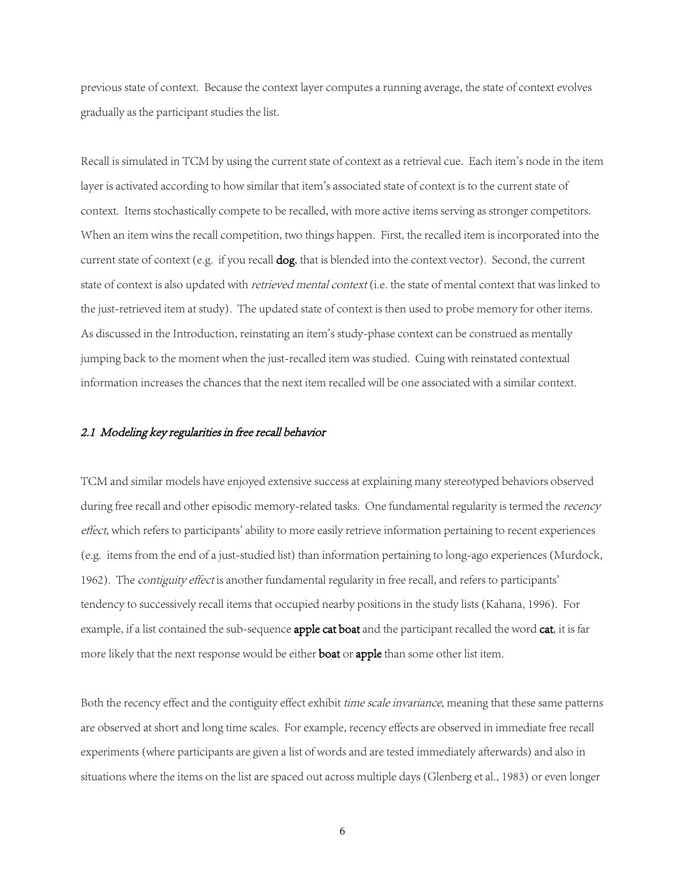previous state of context. Because the context layer computes a running average, the state of context evolves gradually as the participant studies the list.

Recall is simulated in TCM by using the current state of context as a retrieval cue. Each item's node in the item layer is activated according to how similar that item's associated state of context is to the current state of context. Items stochastically compete to be recalled, with more active items serving as stronger competitors. When an item wins the recall competition, two things happen. First, the recalled item is incorporated into the current state of context (e.g. if you recall dog, that is blended into the context vector). Second, the current state of context is also updated with *retrieved mental context* (i.e. the state of mental context that was linked to the just-retrieved item at study). The updated state of context is then used to probe memory for other items. As discussed in the Introduction, reinstating an item's study-phase context can be construed as mentally jumping back to the moment when the just-recalled item was studied. Cuing with reinstated contextual information increases the chances that the next item recalled will be one associated with a similar context.

# 2.1 Modeling key regularities in free recall behavior

TCM and similar models have enjoyed extensive success at explaining many stereotyped behaviors observed during free recall and other episodic memory-related tasks. One fundamental regularity is termed the *recency* effect, which refers to participants' ability to more easily retrieve information pertaining to recent experiences (e.g. items from the end of a just-studied list) than information pertaining to long-ago experiences (Murdock, 1962). The *contiguity effect* is another fundamental regularity in free recall, and refers to participants' tendency to successively recall items that occupied nearby positions in the study lists (Kahana, 1996). For example, if a list contained the sub-sequence **apple cat boat** and the participant recalled the word **cat**, it is far more likely that the next response would be either **boat** or apple than some other list item.

Both the recency effect and the contiguity effect exhibit *time scale invariance*, meaning that these same patterns are observed at short and long time scales. For example, recency effects are observed in immediate free recall experiments (where participants are given a list of words and are tested immediately afterwards) and also in situations where the items on the list are spaced out across multiple days (Glenberg et al., 1983) or even longer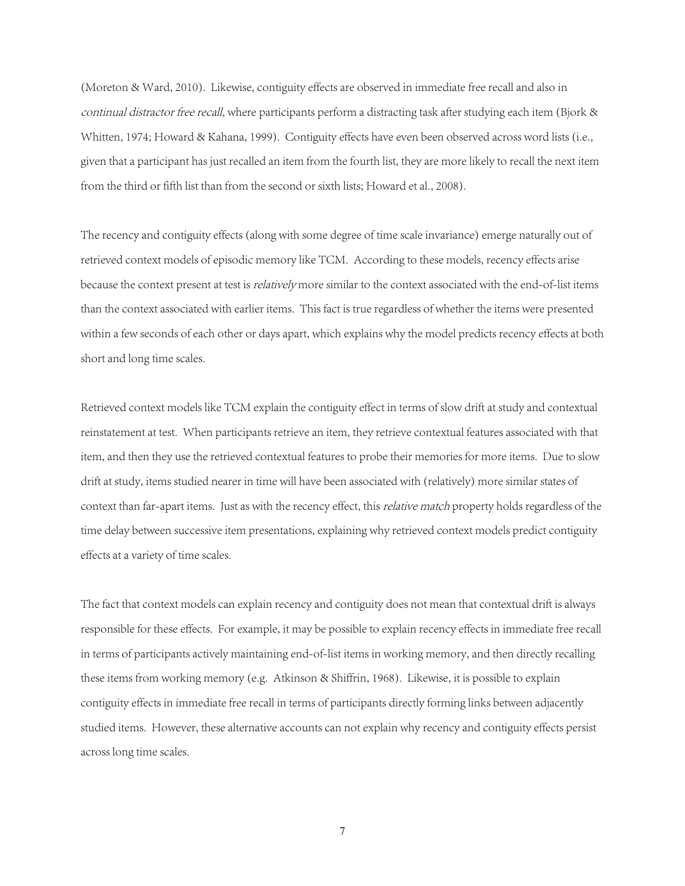(Moreton & Ward, 2010). Likewise, contiguity effects are observed in immediate free recall and also in continual distractor free recall, where participants perform a distracting task after studying each item (Bjork & Whitten, 1974; Howard & Kahana, 1999). Contiguity effects have even been observed across word lists (i.e., given that a participant has just recalled an item from the fourth list, they are more likely to recall the next item from the third or fifth list than from the second or sixth lists; Howard et al., 2008).

The recency and contiguity effects (along with some degree of time scale invariance) emerge naturally out of retrieved context models of episodic memory like TCM. According to these models, recency effects arise because the context present at test is relatively more similar to the context associated with the end-of-list items than the context associated with earlier items. This fact is true regardless of whether the items were presented within a few seconds of each other or days apart, which explains why the model predicts recency effects at both short and long time scales.

Retrieved context models like TCM explain the contiguity effect in terms of slow drift at study and contextual reinstatement at test. When participants retrieve an item, they retrieve contextual features associated with that item, and then they use the retrieved contextual features to probe their memories for more items. Due to slow drift at study, items studied nearer in time will have been associated with (relatively) more similar states of context than far-apart items. Just as with the recency effect, this *relative match* property holds regardless of the time delay between successive item presentations, explaining why retrieved context models predict contiguity effects at a variety of time scales.

The fact that context models can explain recency and contiguity does not mean that contextual drift is always responsible for these effects. For example, it may be possible to explain recency effects in immediate free recall in terms of participants actively maintaining end-of-list items in working memory, and then directly recalling these items from working memory (e.g. Atkinson & Shiffrin, 1968). Likewise, it is possible to explain contiguity effects in immediate free recall in terms of participants directly forming links between adjacently studied items. However, these alternative accounts can not explain why recency and contiguity effects persist across long time scales.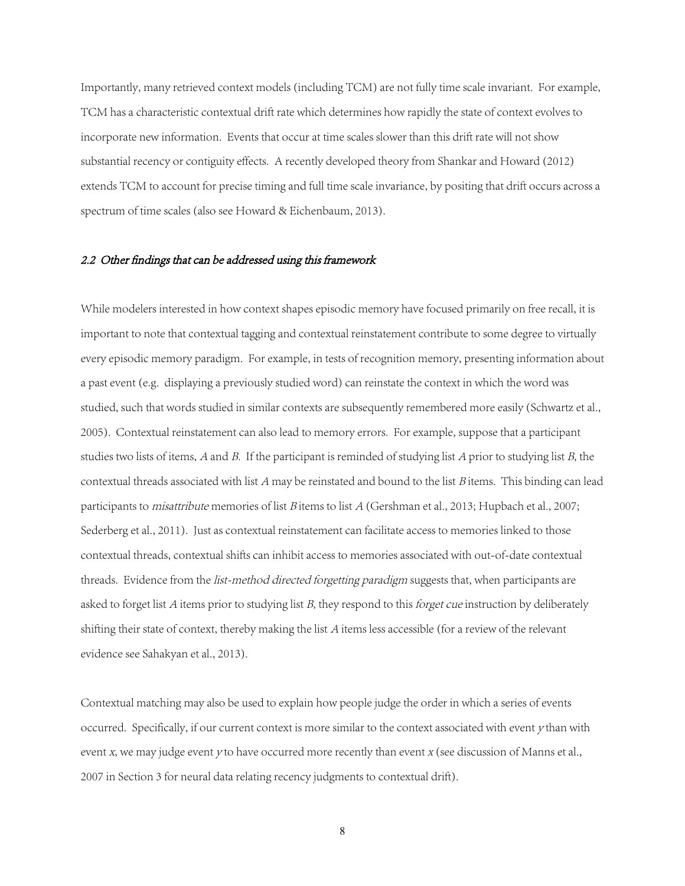Importantly, many retrieved context models (including TCM) are not fully time scale invariant. For example, TCM has a characteristic contextual drift rate which determines how rapidly the state of context evolves to incorporate new information. Events that occur at time scales slower than this drift rate will not show substantial recency or contiguity effects. A recently developed theory from Shankar and Howard (2012) extends TCM to account for precise timing and full time scale invariance, by positing that drift occurs across a spectrum of time scales (also see Howard & Eichenbaum, 2013).

## 2.2 Other findings that can be addressed using this framework

While modelers interested in how context shapes episodic memory have focused primarily on free recall, it is important to note that contextual tagging and contextual reinstatement contribute to some degree to virtually every episodic memory paradigm. For example, in tests of recognition memory, presenting information about a past event (e.g. displaying a previously studied word) can reinstate the context in which the word was studied, such that words studied in similar contexts are subsequently remembered more easily (Schwartz et al., 2005). Contextual reinstatement can also lead to memory errors. For example, suppose that a participant studies two lists of items,  $A$  and  $B$ . If the participant is reminded of studying list  $A$  prior to studying list  $B$ , the contextual threads associated with list A may be reinstated and bound to the list B items. This binding can lead participants to *misattribute* memories of list B items to list A (Gershman et al., 2013; Hupbach et al., 2007; Sederberg et al., 2011). Just as contextual reinstatement can facilitate access to memories linked to those contextual threads, contextual shifts can inhibit access to memories associated with out-of-date contextual threads. Evidence from the *list-method directed forgetting paradigm* suggests that, when participants are asked to forget list A items prior to studying list B, they respond to this forget cue instruction by deliberately shifting their state of context, thereby making the list A items less accessible (for a review of the relevant evidence see Sahakyan et al., 2013).

Contextual matching may also be used to explain how people judge the order in which a series of events occurred. Specifically, if our current context is more similar to the context associated with event y than with event x, we may judge event y to have occurred more recently than event x (see discussion of Manns et al., 2007 in Section 3 for neural data relating recency judgments to contextual drift).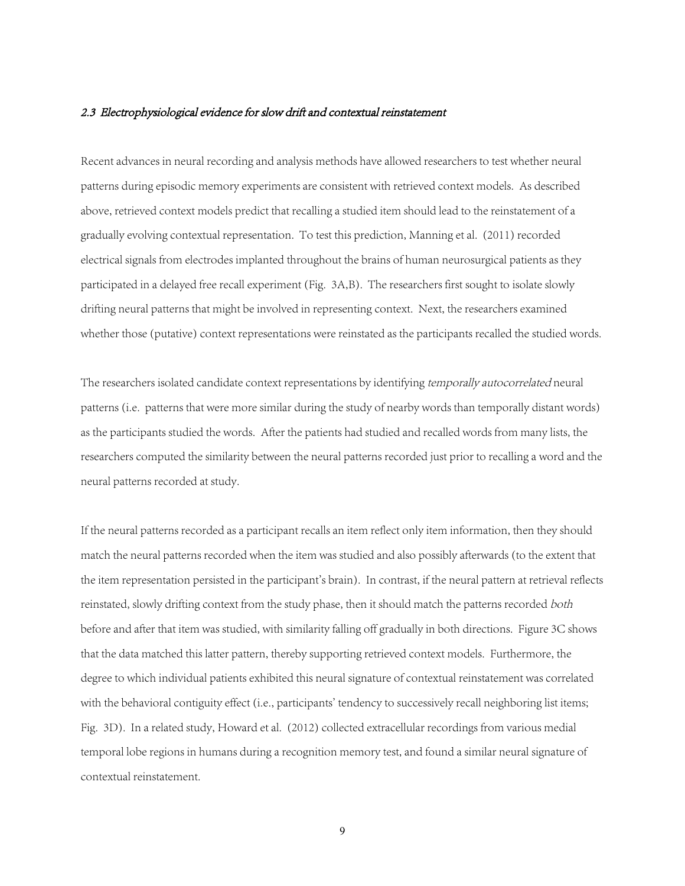### 2.3 Electrophysiological evidence for slow drift and contextual reinstatement

Recent advances in neural recording and analysis methods have allowed researchers to test whether neural patterns during episodic memory experiments are consistent with retrieved context models. As described above, retrieved context models predict that recalling a studied item should lead to the reinstatement of a gradually evolving contextual representation. To test this prediction, Manning et al. (2011) recorded electrical signals from electrodes implanted throughout the brains of human neurosurgical patients as they participated in a delayed free recall experiment (Fig. 3A,B). The researchers first sought to isolate slowly drifting neural patterns that might be involved in representing context. Next, the researchers examined whether those (putative) context representations were reinstated as the participants recalled the studied words.

The researchers isolated candidate context representations by identifying *temporally autocorrelated* neural patterns (i.e. patterns that were more similar during the study of nearby words than temporally distant words) as the participants studied the words. After the patients had studied and recalled words from many lists, the researchers computed the similarity between the neural patterns recorded just prior to recalling a word and the neural patterns recorded at study.

If the neural patterns recorded as a participant recalls an item reflect only item information, then they should match the neural patterns recorded when the item was studied and also possibly afterwards (to the extent that the item representation persisted in the participant's brain). In contrast, if the neural pattern at retrieval reflects reinstated, slowly drifting context from the study phase, then it should match the patterns recorded both before and after that item was studied, with similarity falling off gradually in both directions. Figure 3C shows that the data matched this latter pattern, thereby supporting retrieved context models. Furthermore, the degree to which individual patients exhibited this neural signature of contextual reinstatement was correlated with the behavioral contiguity effect (i.e., participants' tendency to successively recall neighboring list items; Fig. 3D). In a related study, Howard et al. (2012) collected extracellular recordings from various medial temporal lobe regions in humans during a recognition memory test, and found a similar neural signature of contextual reinstatement.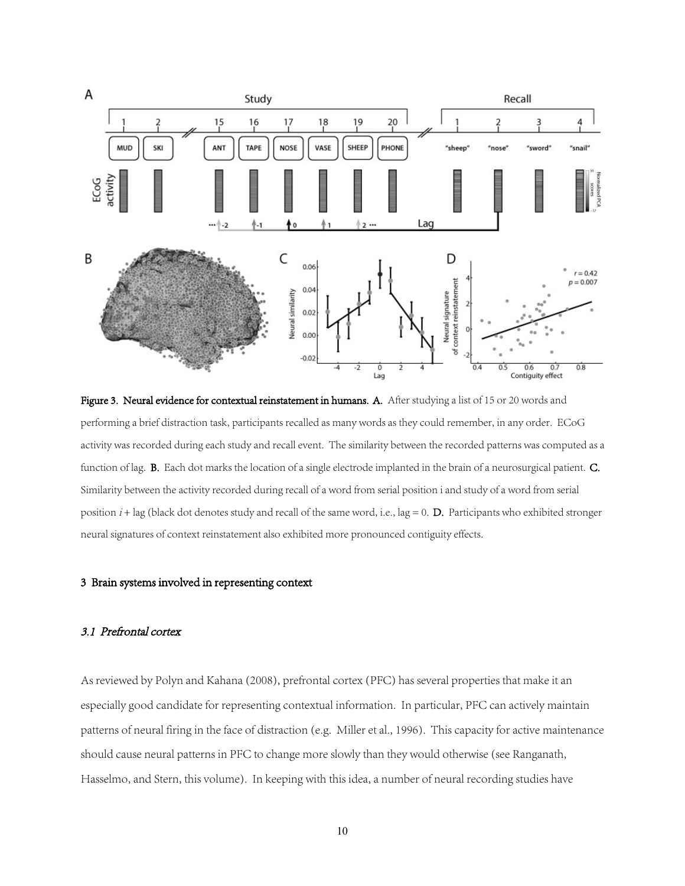

Figure 3. Neural evidence for contextual reinstatement in humans. A. After studying a list of 15 or 20 words and performing a brief distraction task, participants recalled as many words as they could remember, in any order. ECoG activity was recorded during each study and recall event. The similarity between the recorded patterns was computed as a function of lag. B. Each dot marks the location of a single electrode implanted in the brain of a neurosurgical patient. C. Similarity between the activity recorded during recall of a word from serial position i and study of a word from serial position  $i$  + lag (black dot denotes study and recall of the same word, i.e., lag = 0.  $D$ . Participants who exhibited stronger neural signatures of context reinstatement also exhibited more pronounced contiguity effects.

#### 3 Brain systems involved in representing context

### 3.1 Prefrontal cortex

As reviewed by Polyn and Kahana (2008), prefrontal cortex (PFC) has several properties that make it an especially good candidate for representing contextual information. In particular, PFC can actively maintain patterns of neural firing in the face of distraction (e.g. Miller et al., 1996). This capacity for active maintenance should cause neural patterns in PFC to change more slowly than they would otherwise (see Ranganath, Hasselmo, and Stern, this volume). In keeping with this idea, a number of neural recording studies have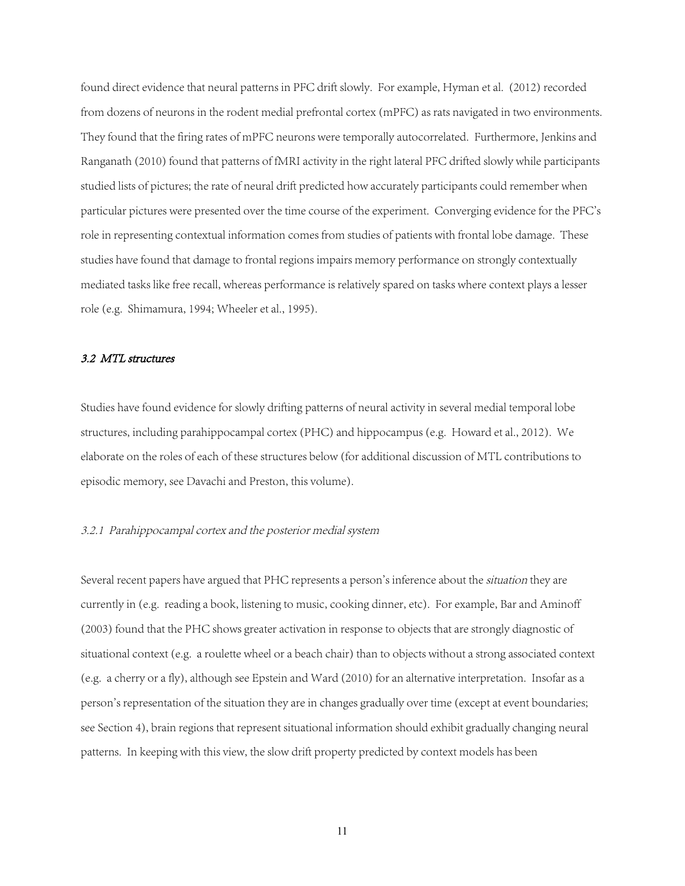found direct evidence that neural patterns in PFC drift slowly. For example, Hyman et al. (2012) recorded from dozens of neurons in the rodent medial prefrontal cortex (mPFC) as rats navigated in two environments. They found that the firing rates of mPFC neurons were temporally autocorrelated. Furthermore, Jenkins and Ranganath (2010) found that patterns of fMRI activity in the right lateral PFC drifted slowly while participants studied lists of pictures; the rate of neural drift predicted how accurately participants could remember when particular pictures were presented over the time course of the experiment. Converging evidence for the PFC's role in representing contextual information comes from studies of patients with frontal lobe damage. These studies have found that damage to frontal regions impairs memory performance on strongly contextually mediated tasks like free recall, whereas performance is relatively spared on tasks where context plays a lesser role (e.g. Shimamura, 1994; Wheeler et al., 1995).

## 3.2 MTL structures

Studies have found evidence for slowly drifting patterns of neural activity in several medial temporal lobe structures, including parahippocampal cortex (PHC) and hippocampus (e.g. Howard et al., 2012). We elaborate on the roles of each of these structures below (for additional discussion of MTL contributions to episodic memory, see Davachi and Preston, this volume).

#### 3.2.1 Parahippocampal cortex and the posterior medial system

Several recent papers have argued that PHC represents a person's inference about the situation they are currently in (e.g. reading a book, listening to music, cooking dinner, etc). For example, Bar and Aminoff (2003) found that the PHC shows greater activation in response to objects that are strongly diagnostic of situational context (e.g. a roulette wheel or a beach chair) than to objects without a strong associated context (e.g. a cherry or a fly), although see Epstein and Ward (2010) for an alternative interpretation. Insofar as a person's representation of the situation they are in changes gradually over time (except at event boundaries; see Section 4), brain regions that represent situational information should exhibit gradually changing neural patterns. In keeping with this view, the slow drift property predicted by context models has been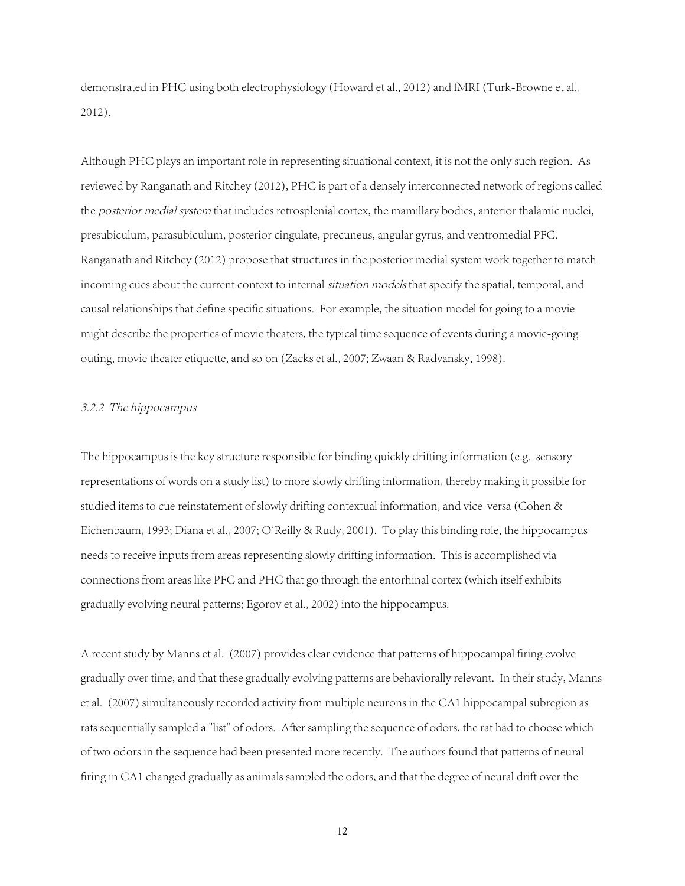demonstrated in PHC using both electrophysiology (Howard et al., 2012) and fMRI (Turk-Browne et al., 2012).

Although PHC plays an important role in representing situational context, it is not the only such region. As reviewed by Ranganath and Ritchey (2012), PHC is part of a densely interconnected network of regions called the *posterior medial system* that includes retrosplenial cortex, the mamillary bodies, anterior thalamic nuclei, presubiculum, parasubiculum, posterior cingulate, precuneus, angular gyrus, and ventromedial PFC. Ranganath and Ritchey (2012) propose that structures in the posterior medial system work together to match incoming cues about the current context to internal *situation models* that specify the spatial, temporal, and causal relationships that define specific situations. For example, the situation model for going to a movie might describe the properties of movie theaters, the typical time sequence of events during a movie-going outing, movie theater etiquette, and so on (Zacks et al., 2007; Zwaan & Radvansky, 1998).

#### 3.2.2 The hippocampus

The hippocampus is the key structure responsible for binding quickly drifting information (e.g. sensory representations of words on a study list) to more slowly drifting information, thereby making it possible for studied items to cue reinstatement of slowly drifting contextual information, and vice-versa (Cohen & Eichenbaum, 1993; Diana et al., 2007; O'Reilly & Rudy, 2001). To play this binding role, the hippocampus needs to receive inputs from areas representing slowly drifting information. This is accomplished via connections from areas like PFC and PHC that go through the entorhinal cortex (which itself exhibits gradually evolving neural patterns; Egorov et al., 2002) into the hippocampus.

A recent study by Manns et al. (2007) provides clear evidence that patterns of hippocampal firing evolve gradually over time, and that these gradually evolving patterns are behaviorally relevant. In their study, Manns et al. (2007) simultaneously recorded activity from multiple neurons in the CA1 hippocampal subregion as rats sequentially sampled a "list" of odors. After sampling the sequence of odors, the rat had to choose which of two odors in the sequence had been presented more recently. The authors found that patterns of neural firing in CA1 changed gradually as animals sampled the odors, and that the degree of neural drift over the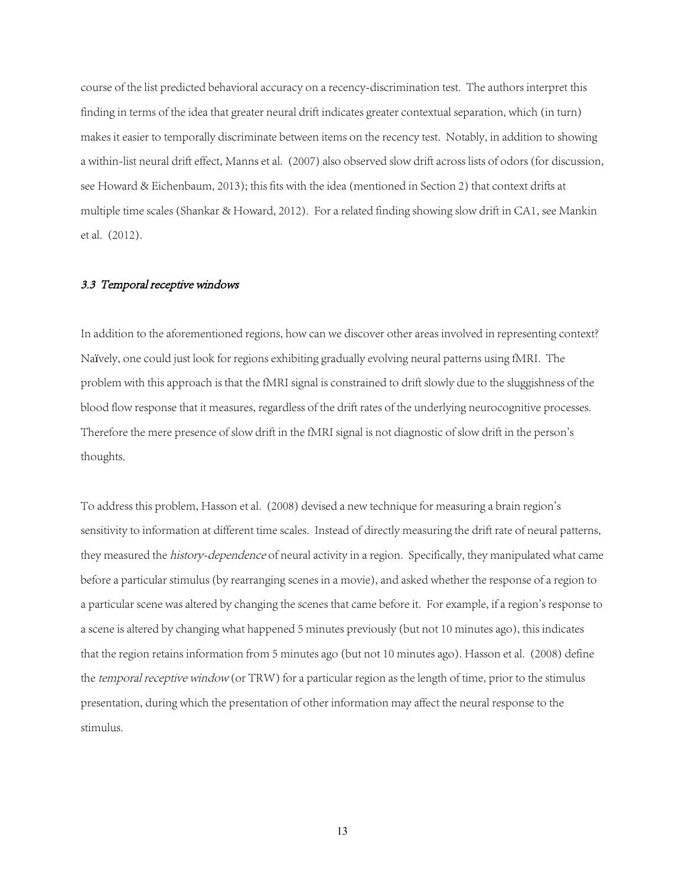course of the list predicted behavioral accuracy on a recency-discrimination test. The authors interpret this finding in terms of the idea that greater neural drift indicates greater contextual separation, which (in turn) makes it easier to temporally discriminate between items on the recency test. Notably, in addition to showing a within-list neural drift effect, Manns et al. (2007) also observed slow drift across lists of odors (for discussion, see Howard & Eichenbaum, 2013); this fits with the idea (mentioned in Section 2) that context drifts at multiple time scales (Shankar & Howard, 2012). For a related finding showing slow drift in CA1, see Mankin et al. (2012).

# 3.3 Temporal receptive windows

In addition to the aforementioned regions, how can we discover other areas involved in representing context? Naïvely, one could just look for regions exhibiting gradually evolving neural patterns using fMRI. The problem with this approach is that the fMRI signal is constrained to drift slowly due to the sluggishness of the blood flow response that it measures, regardless of the drift rates of the underlying neurocognitive processes. Therefore the mere presence of slow drift in the fMRI signal is not diagnostic of slow drift in the person's thoughts.

To address this problem, Hasson et al. (2008) devised a new technique for measuring a brain region's sensitivity to information at different time scales. Instead of directly measuring the drift rate of neural patterns, they measured the *history-dependence* of neural activity in a region. Specifically, they manipulated what came before a particular stimulus (by rearranging scenes in a movie), and asked whether the response of a region to a particular scene was altered by changing the scenes that came before it. For example, if a region's response to a scene is altered by changing what happened 5 minutes previously (but not 10 minutes ago), this indicates that the region retains information from 5 minutes ago (but not 10 minutes ago). Hasson et al. (2008) define the temporal receptive window (or TRW) for a particular region as the length of time, prior to the stimulus presentation, during which the presentation of other information may affect the neural response to the stimulus.

13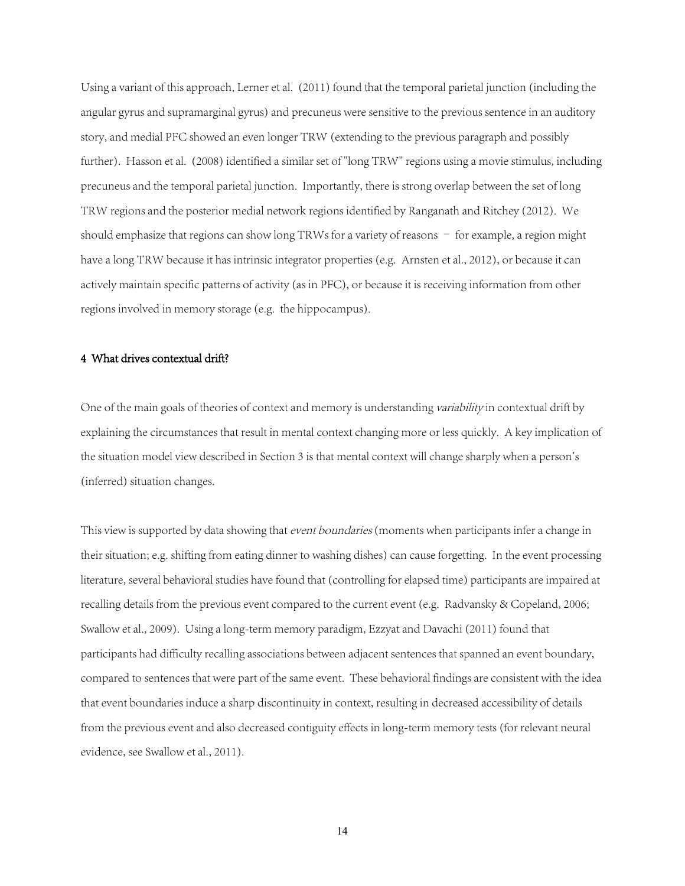Using a variant of this approach, Lerner et al. (2011) found that the temporal parietal junction (including the angular gyrus and supramarginal gyrus) and precuneus were sensitive to the previous sentence in an auditory story, and medial PFC showed an even longer TRW (extending to the previous paragraph and possibly further). Hasson et al. (2008) identified a similar set of "long TRW" regions using a movie stimulus, including precuneus and the temporal parietal junction. Importantly, there is strong overlap between the set of long TRW regions and the posterior medial network regions identified by Ranganath and Ritchey (2012). We should emphasize that regions can show long TRWs for a variety of reasons – for example, a region might have a long TRW because it has intrinsic integrator properties (e.g. Arnsten et al., 2012), or because it can actively maintain specific patterns of activity (as in PFC), or because it is receiving information from other regions involved in memory storage (e.g. the hippocampus).

## 4 What drives contextual drift?

One of the main goals of theories of context and memory is understanding *variability* in contextual drift by explaining the circumstances that result in mental context changing more or less quickly. A key implication of the situation model view described in Section 3 is that mental context will change sharply when a person's (inferred) situation changes.

This view is supported by data showing that *event boundaries* (moments when participants infer a change in their situation; e.g. shifting from eating dinner to washing dishes) can cause forgetting. In the event processing literature, several behavioral studies have found that (controlling for elapsed time) participants are impaired at recalling details from the previous event compared to the current event (e.g. Radvansky & Copeland, 2006; Swallow et al., 2009). Using a long-term memory paradigm, Ezzyat and Davachi (2011) found that participants had difficulty recalling associations between adjacent sentences that spanned an event boundary, compared to sentences that were part of the same event. These behavioral findings are consistent with the idea that event boundaries induce a sharp discontinuity in context, resulting in decreased accessibility of details from the previous event and also decreased contiguity effects in long-term memory tests (for relevant neural evidence, see Swallow et al., 2011).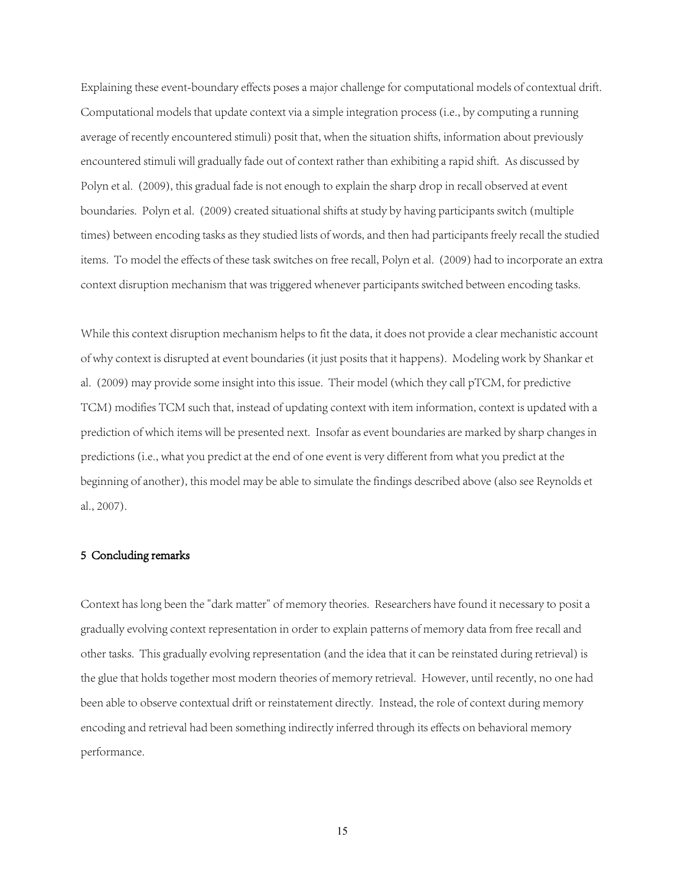Explaining these event-boundary effects poses a major challenge for computational models of contextual drift. Computational models that update context via a simple integration process (i.e., by computing a running average of recently encountered stimuli) posit that, when the situation shifts, information about previously encountered stimuli will gradually fade out of context rather than exhibiting a rapid shift. As discussed by Polyn et al. (2009), this gradual fade is not enough to explain the sharp drop in recall observed at event boundaries. Polyn et al. (2009) created situational shifts at study by having participants switch (multiple times) between encoding tasks as they studied lists of words, and then had participants freely recall the studied items. To model the effects of these task switches on free recall, Polyn et al. (2009) had to incorporate an extra context disruption mechanism that was triggered whenever participants switched between encoding tasks.

While this context disruption mechanism helps to fit the data, it does not provide a clear mechanistic account of why context is disrupted at event boundaries (it just posits that it happens). Modeling work by Shankar et al. (2009) may provide some insight into this issue. Their model (which they call pTCM, for predictive TCM) modifies TCM such that, instead of updating context with item information, context is updated with a prediction of which items will be presented next. Insofar as event boundaries are marked by sharp changes in predictions (i.e., what you predict at the end of one event is very different from what you predict at the beginning of another), this model may be able to simulate the findings described above (also see Reynolds et al., 2007).

## 5 Concluding remarks

Context has long been the "dark matter" of memory theories. Researchers have found it necessary to posit a gradually evolving context representation in order to explain patterns of memory data from free recall and other tasks. This gradually evolving representation (and the idea that it can be reinstated during retrieval) is the glue that holds together most modern theories of memory retrieval. However, until recently, no one had been able to observe contextual drift or reinstatement directly. Instead, the role of context during memory encoding and retrieval had been something indirectly inferred through its effects on behavioral memory performance.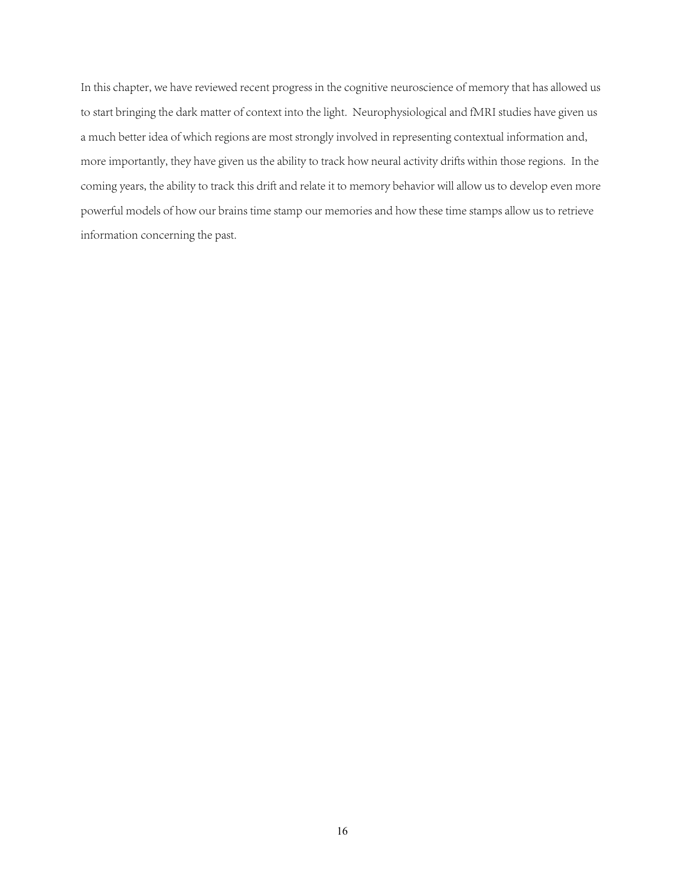In this chapter, we have reviewed recent progress in the cognitive neuroscience of memory that has allowed us to start bringing the dark matter of context into the light. Neurophysiological and fMRI studies have given us a much better idea of which regions are most strongly involved in representing contextual information and, more importantly, they have given us the ability to track how neural activity drifts within those regions. In the coming years, the ability to track this drift and relate it to memory behavior will allow us to develop even more powerful models of how our brains time stamp our memories and how these time stamps allow us to retrieve information concerning the past.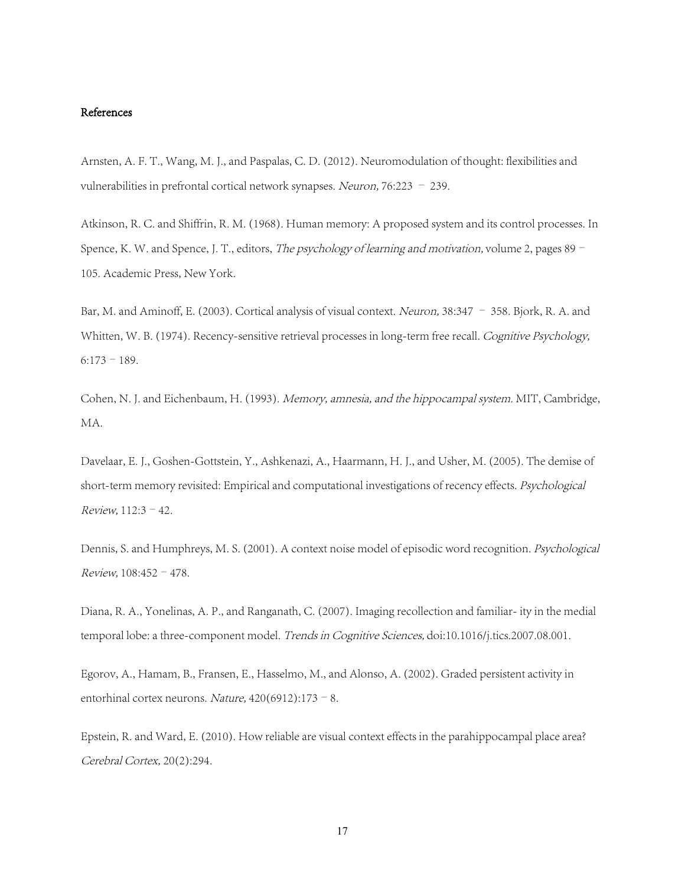# References

Arnsten, A. F. T., Wang, M. J., and Paspalas, C. D. (2012). Neuromodulation of thought: flexibilities and vulnerabilities in prefrontal cortical network synapses. Neuron, 76:223 – 239.

Atkinson, R. C. and Shiffrin, R. M. (1968). Human memory: A proposed system and its control processes. In Spence, K. W. and Spence, J. T., editors, *The psychology of learning and motivation*, volume 2, pages 89 – 105. Academic Press, New York.

Bar, M. and Aminoff, E. (2003). Cortical analysis of visual context. Neuron, 38:347 – 358. Bjork, R. A. and Whitten, W. B. (1974). Recency-sensitive retrieval processes in long-term free recall. Cognitive Psychology, 6:173–189.

Cohen, N. J. and Eichenbaum, H. (1993). Memory, amnesia, and the hippocampal system. MIT, Cambridge, MA.

Davelaar, E. J., Goshen-Gottstein, Y., Ashkenazi, A., Haarmann, H. J., and Usher, M. (2005). The demise of short-term memory revisited: Empirical and computational investigations of recency effects. Psychological Review, 112:3–42.

Dennis, S. and Humphreys, M. S. (2001). A context noise model of episodic word recognition. Psychological Review, 108:452–478.

Diana, R. A., Yonelinas, A. P., and Ranganath, C. (2007). Imaging recollection and familiar- ity in the medial temporal lobe: a three-component model. Trends in Cognitive Sciences, doi:10.1016/j.tics.2007.08.001.

Egorov, A., Hamam, B., Fransen, E., Hasselmo, M., and Alonso, A. (2002). Graded persistent activity in entorhinal cortex neurons. Nature,  $420(6912):173-8$ .

Epstein, R. and Ward, E. (2010). How reliable are visual context effects in the parahippocampal place area? Cerebral Cortex, 20(2):294.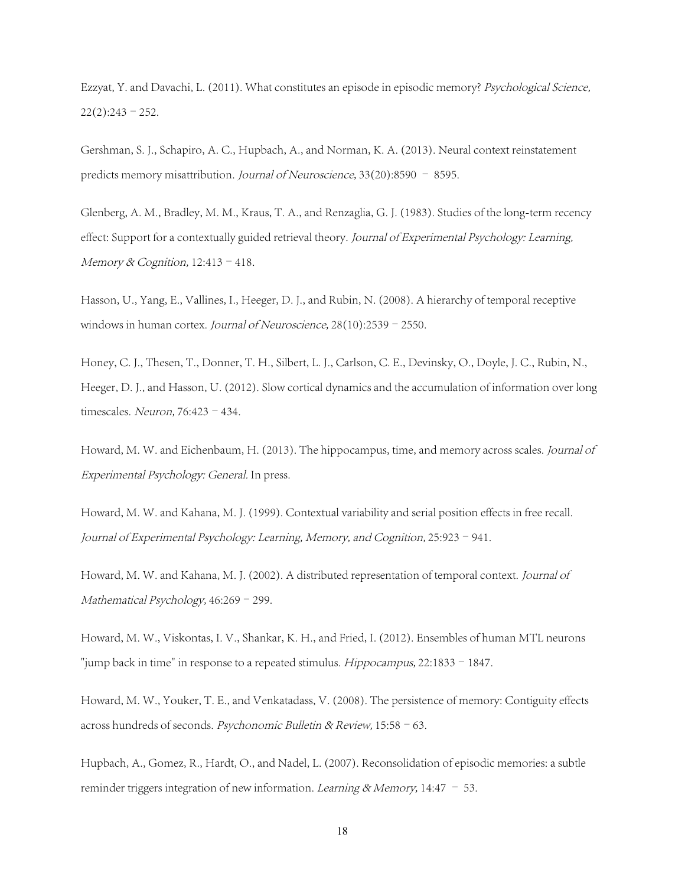Ezzyat, Y. and Davachi, L. (2011). What constitutes an episode in episodic memory? Psychological Science,  $22(2):243-252.$ 

Gershman, S. J., Schapiro, A. C., Hupbach, A., and Norman, K. A. (2013). Neural context reinstatement predicts memory misattribution. Journal of Neuroscience, 33(20):8590 – 8595.

Glenberg, A. M., Bradley, M. M., Kraus, T. A., and Renzaglia, G. J. (1983). Studies of the long-term recency effect: Support for a contextually guided retrieval theory. Journal of Experimental Psychology: Learning, Memory & Cognition,  $12:413 - 418$ .

Hasson, U., Yang, E., Vallines, I., Heeger, D. J., and Rubin, N. (2008). A hierarchy of temporal receptive windows in human cortex. Journal of Neuroscience, 28(10):2539 - 2550.

Honey, C. J., Thesen, T., Donner, T. H., Silbert, L. J., Carlson, C. E., Devinsky, O., Doyle, J. C., Rubin, N., Heeger, D. J., and Hasson, U. (2012). Slow cortical dynamics and the accumulation of information over long timescales. Neuron, 76:423–434.

Howard, M. W. and Eichenbaum, H. (2013). The hippocampus, time, and memory across scales. Journal of Experimental Psychology: General. In press.

Howard, M. W. and Kahana, M. J. (1999). Contextual variability and serial position effects in free recall. Journal of Experimental Psychology: Learning, Memory, and Cognition, 25:923–941.

Howard, M. W. and Kahana, M. J. (2002). A distributed representation of temporal context. Journal of Mathematical Psychology, 46:269–299.

Howard, M. W., Viskontas, I. V., Shankar, K. H., and Fried, I. (2012). Ensembles of human MTL neurons "jump back in time" in response to a repeated stimulus. Hippocampus, 22:1833–1847.

Howard, M. W., Youker, T. E., and Venkatadass, V. (2008). The persistence of memory: Contiguity effects across hundreds of seconds. *Psychonomic Bulletin & Review*,  $15:58 - 63$ .

Hupbach, A., Gomez, R., Hardt, O., and Nadel, L. (2007). Reconsolidation of episodic memories: a subtle reminder triggers integration of new information. Learning & Memory,  $14:47 - 53$ .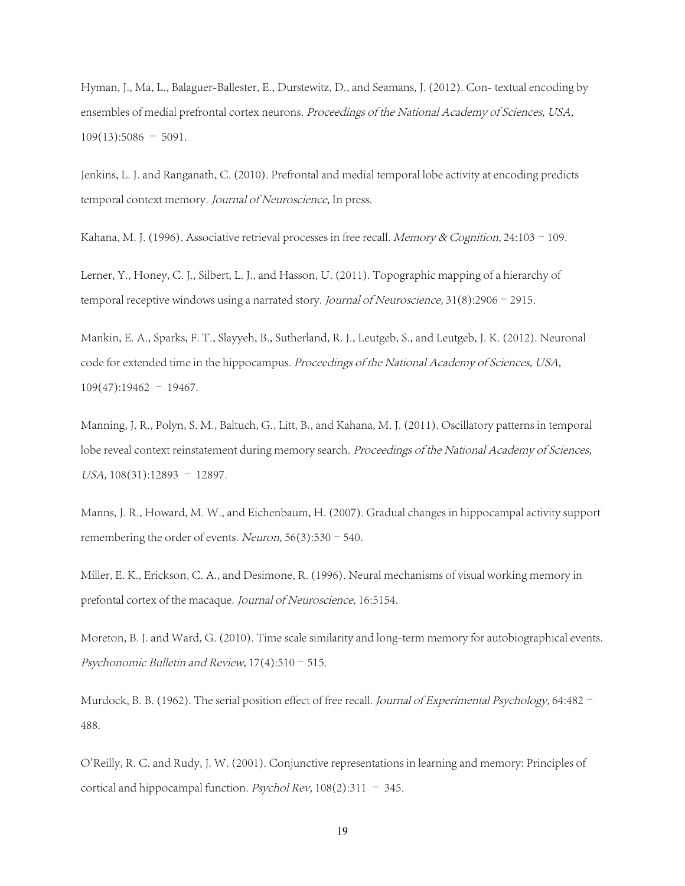Hyman, J., Ma, L., Balaguer-Ballester, E., Durstewitz, D., and Seamans, J. (2012). Con- textual encoding by ensembles of medial prefrontal cortex neurons. Proceedings of the National Academy of Sciences, USA,  $109(13):5086 - 5091.$ 

Jenkins, L. J. and Ranganath, C. (2010). Prefrontal and medial temporal lobe activity at encoding predicts temporal context memory. Journal of Neuroscience, In press.

Kahana, M. J. (1996). Associative retrieval processes in free recall. *Memory & Cognition*, 24:103 – 109.

Lerner, Y., Honey, C. J., Silbert, L. J., and Hasson, U. (2011). Topographic mapping of a hierarchy of temporal receptive windows using a narrated story. Journal of Neuroscience, 31(8):2906 - 2915.

Mankin, E. A., Sparks, F. T., Slayyeh, B., Sutherland, R. J., Leutgeb, S., and Leutgeb, J. K. (2012). Neuronal code for extended time in the hippocampus. Proceedings of the National Academy of Sciences, USA,  $109(47):19462 - 19467.$ 

Manning, J. R., Polyn, S. M., Baltuch, G., Litt, B., and Kahana, M. J. (2011). Oscillatory patterns in temporal lobe reveal context reinstatement during memory search. Proceedings of the National Academy of Sciences,  $USA$ , 108(31):12893 - 12897.

Manns, J. R., Howard, M. W., and Eichenbaum, H. (2007). Gradual changes in hippocampal activity support remembering the order of events. Neuron,  $56(3):530 - 540$ .

Miller, E. K., Erickson, C. A., and Desimone, R. (1996). Neural mechanisms of visual working memory in prefontal cortex of the macaque. Journal of Neuroscience, 16:5154.

Moreton, B. J. and Ward, G. (2010). Time scale similarity and long-term memory for autobiographical events. Psychonomic Bulletin and Review, 17(4):510–515.

Murdock, B. B. (1962). The serial position effect of free recall. Journal of Experimental Psychology, 64:482 -488.

O'Reilly, R. C. and Rudy, J. W. (2001). Conjunctive representations in learning and memory: Principles of cortical and hippocampal function. Psychol Rev,  $108(2):311 - 345$ .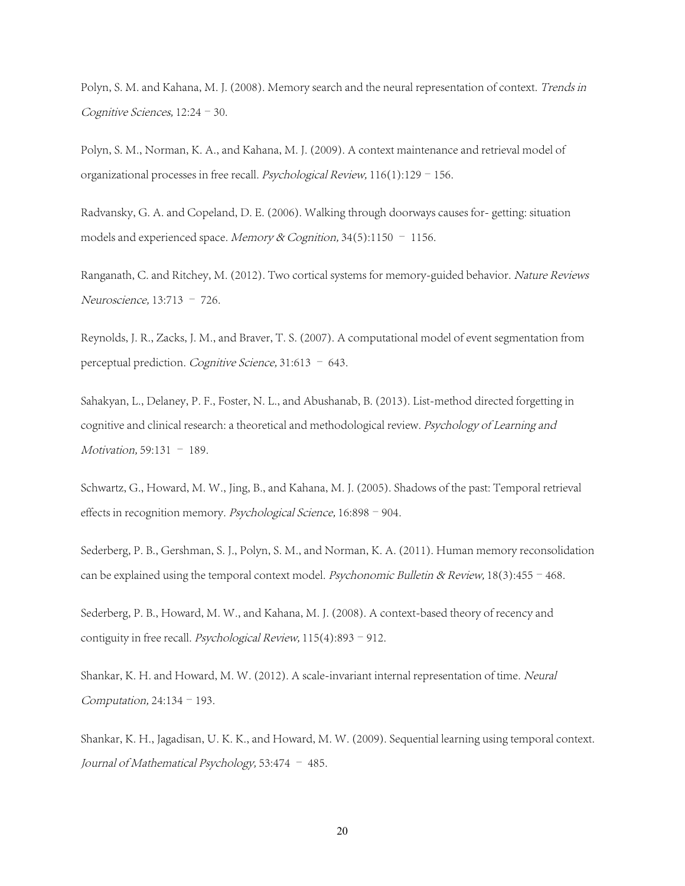Polyn, S. M. and Kahana, M. J. (2008). Memory search and the neural representation of context. Trends in Cognitive Sciences, 12:24–30.

Polyn, S. M., Norman, K. A., and Kahana, M. J. (2009). A context maintenance and retrieval model of organizational processes in free recall. Psychological Review, 116(1):129–156.

Radvansky, G. A. and Copeland, D. E. (2006). Walking through doorways causes for- getting: situation models and experienced space. Memory & Cognition, 34(5):1150 - 1156.

Ranganath, C. and Ritchey, M. (2012). Two cortical systems for memory-guided behavior. Nature Reviews Neuroscience, 13:713 – 726.

Reynolds, J. R., Zacks, J. M., and Braver, T. S. (2007). A computational model of event segmentation from perceptual prediction. Cognitive Science, 31:613 – 643.

Sahakyan, L., Delaney, P. F., Foster, N. L., and Abushanab, B. (2013). List-method directed forgetting in cognitive and clinical research: a theoretical and methodological review. Psychology of Learning and Motivation, 59:131 – 189.

Schwartz, G., Howard, M. W., Jing, B., and Kahana, M. J. (2005). Shadows of the past: Temporal retrieval effects in recognition memory. Psychological Science, 16:898–904.

Sederberg, P. B., Gershman, S. J., Polyn, S. M., and Norman, K. A. (2011). Human memory reconsolidation can be explained using the temporal context model. *Psychonomic Bulletin & Review*,  $18(3):455 - 468$ .

Sederberg, P. B., Howard, M. W., and Kahana, M. J. (2008). A context-based theory of recency and contiguity in free recall. Psychological Review, 115(4):893–912.

Shankar, K. H. and Howard, M. W. (2012). A scale-invariant internal representation of time. Neural Computation, 24:134–193.

Shankar, K. H., Jagadisan, U. K. K., and Howard, M. W. (2009). Sequential learning using temporal context. Journal of Mathematical Psychology, 53:474 – 485.